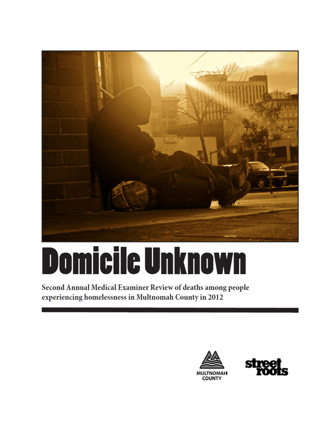

# **Domicile Unknown**

Second Annual Medical Examiner Review of deaths among people experiencing homelessness in Multnomah County in 2012

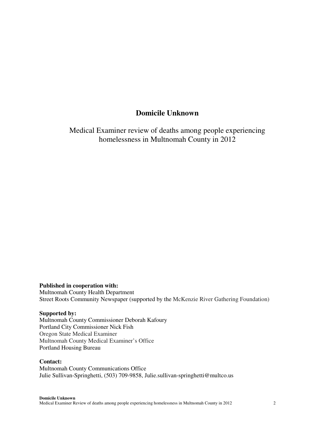# **Domicile Unknown**

Medical Examiner review of deaths among people experiencing homelessness in Multnomah County in 2012

**Published in cooperation with:** Multnomah County Health Department Street Roots Community Newspaper (supported by the McKenzie River Gathering Foundation)

### **Supported by:**

Multnomah County Commissioner Deborah Kafoury Portland City Commissioner Nick Fish Oregon State Medical Examiner Multnomah County Medical Examiner's Office Portland Housing Bureau

### **Contact:**

Multnomah County Communications Office Julie Sullivan-Springhetti, (503) 709-9858, Julie.sullivan-springhetti@multco.us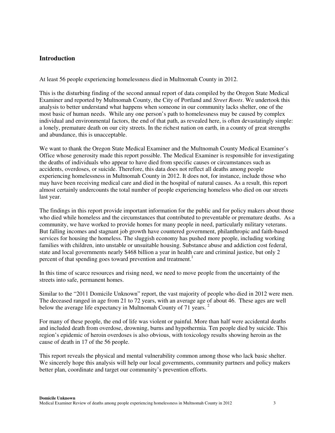## **Introduction**

At least 56 people experiencing homelessness died in Multnomah County in 2012.

This is the disturbing finding of the second annual report of data compiled by the Oregon State Medical Examiner and reported by Multnomah County, the City of Portland and *Street Roots*. We undertook this analysis to better understand what happens when someone in our community lacks shelter, one of the most basic of human needs. While any one person's path to homelessness may be caused by complex individual and environmental factors, the end of that path, as revealed here, is often devastatingly simple: a lonely, premature death on our city streets. In the richest nation on earth, in a county of great strengths and abundance, this is unacceptable.

We want to thank the Oregon State Medical Examiner and the Multnomah County Medical Examiner's Office whose generosity made this report possible. The Medical Examiner is responsible for investigating the deaths of individuals who appear to have died from specific causes or circumstances such as accidents, overdoses, or suicide. Therefore, this data does not reflect all deaths among people experiencing homelessness in Multnomah County in 2012. It does not, for instance, include those who may have been receiving medical care and died in the hospital of natural causes. As a result, this report almost certainly undercounts the total number of people experiencing homeless who died on our streets last year.

The findings in this report provide important information for the public and for policy makers about those who died while homeless and the circumstances that contributed to preventable or premature deaths. As a community, we have worked to provide homes for many people in need, particularly military veterans. But falling incomes and stagnant job growth have countered government, philanthropic and faith-based services for housing the homeless. The sluggish economy has pushed more people, including working families with children, into unstable or unsuitable housing. Substance abuse and addiction cost federal, state and local governments nearly \$468 billion a year in health care and criminal justice, but only 2 percent of that spending goes toward prevention and treatment.<sup>1</sup>

In this time of scarce resources and rising need, we need to move people from the uncertainty of the streets into safe, permanent homes.

Similar to the "2011 Domicile Unknown" report, the vast majority of people who died in 2012 were men. The deceased ranged in age from 21 to 72 years, with an average age of about 46. These ages are well below the average life expectancy in Multnomah County of 71 years.<sup>2</sup>

For many of these people, the end of life was violent or painful. More than half were accidental deaths and included death from overdose, drowning, burns and hypothermia. Ten people died by suicide. This region's epidemic of heroin overdoses is also obvious, with toxicology results showing heroin as the cause of death in 17 of the 56 people.

This report reveals the physical and mental vulnerability common among those who lack basic shelter. We sincerely hope this analysis will help our local governments, community partners and policy makers better plan, coordinate and target our community's prevention efforts.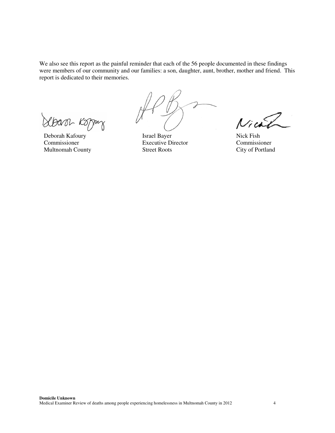We also see this report as the painful reminder that each of the 56 people documented in these findings were members of our community and our families: a son, daughter, aunt, brother, mother and friend. This report is dedicated to their memories.

Sbarr Koppy

Commissioner Executive Director Commissioner

 $\mathcal{F}$ 

Deborah Kafoury Israel Bayer Nick Fish<br>
Commissioner Executive Director Commissioner Multnomah County Street Roots City of Portland

Nich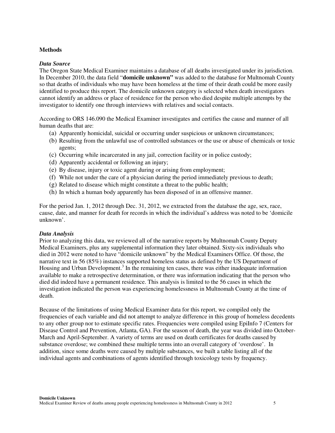### **Methods**

### *Data Source*

The Oregon State Medical Examiner maintains a database of all deaths investigated under its jurisdiction. In December 2010, the data field "**domicile unknown"** was added to the database for Multnomah County so that deaths of individuals who may have been homeless at the time of their death could be more easily identified to produce this report. The domicile unknown category is selected when death investigators cannot identify an address or place of residence for the person who died despite multiple attempts by the investigator to identify one through interviews with relatives and social contacts.

According to ORS 146.090 the Medical Examiner investigates and certifies the cause and manner of all human deaths that are:

- (a) Apparently homicidal, suicidal or occurring under suspicious or unknown circumstances;
- (b) Resulting from the unlawful use of controlled substances or the use or abuse of chemicals or toxic agents;
- (c) Occurring while incarcerated in any jail, correction facility or in police custody;
- (d) Apparently accidental or following an injury;
- (e) By disease, injury or toxic agent during or arising from employment;
- (f) While not under the care of a physician during the period immediately previous to death;
- (g) Related to disease which might constitute a threat to the public health;
- (h) In which a human body apparently has been disposed of in an offensive manner.

For the period Jan. 1, 2012 through Dec. 31, 2012, we extracted from the database the age, sex, race, cause, date, and manner for death for records in which the individual's address was noted to be 'domicile unknown'.

### *Data Analysis*

Prior to analyzing this data, we reviewed all of the narrative reports by Multnomah County Deputy Medical Examiners, plus any supplemental information they later obtained. Sixty-six individuals who died in 2012 were noted to have "domicile unknown" by the Medical Examiners Office. Of those, the narrative text in 56 (85%) instances supported homeless status as defined by the US Department of Housing and Urban Development.<sup>3</sup> In the remaining ten cases, there was either inadequate information available to make a retrospective determination, or there was information indicating that the person who died did indeed have a permanent residence. This analysis is limited to the 56 cases in which the investigation indicated the person was experiencing homelessness in Multnomah County at the time of death.

Because of the limitations of using Medical Examiner data for this report, we compiled only the frequencies of each variable and did not attempt to analyze difference in this group of homeless decedents to any other group nor to estimate specific rates. Frequencies were compiled using EpiInfo 7 (Centers for Disease Control and Prevention, Atlanta, GA). For the season of death, the year was divided into October-March and April-September. A variety of terms are used on death certificates for deaths caused by substance overdose; we combined these multiple terms into an overall category of 'overdose'. In addition, since some deaths were caused by multiple substances, we built a table listing all of the individual agents and combinations of agents identified through toxicology tests by frequency.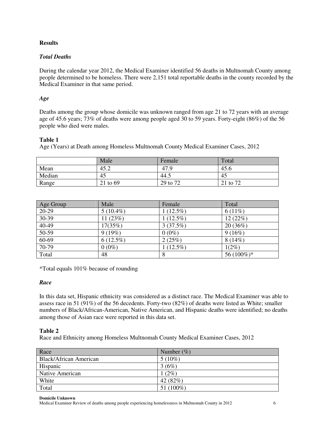### **Results**

## *Total Deaths*

During the calendar year 2012, the Medical Examiner identified 56 deaths in Multnomah County among people determined to be homeless. There were 2,151 total reportable deaths in the county recorded by the Medical Examiner in that same period.

### *Age*

Deaths among the group whose domicile was unknown ranged from age 21 to 72 years with an average age of 45.6 years; 73% of deaths were among people aged 30 to 59 years. Forty-eight (86%) of the 56 people who died were males.

## **Table 1**

Age (Years) at Death among Homeless Multnomah County Medical Examiner Cases, 2012

|        | Male     | Female   | Total    |
|--------|----------|----------|----------|
| Mean   | 45.2     | 47.9     | 45.6     |
| Median | 45       | 44.5     | 45       |
| Range  | 21 to 69 | 29 to 72 | 21 to 72 |

| Age Group | Male        | Female      | Total      |
|-----------|-------------|-------------|------------|
| $20-29$   | $5(10.4\%)$ | $1(12.5\%)$ | $6(11\%)$  |
| 30-39     | 11(23%)     | $1(12.5\%)$ | 12(22%)    |
| 40-49     | 17(35%)     | 3(37.5%)    | 20(36%)    |
| $50-59$   | 9(19%)      | $0(0\%)$    | 9(16%)     |
| $60-69$   | $6(12.5\%)$ | 2(25%)      | $8(14\%)$  |
| 70-79     | $0(0\%)$    | $1(12.5\%)$ | $1(2\%)$   |
| Total     | 48          | 8           | 56 (100%)* |

\*Total equals 101% because of rounding

### *Race*

In this data set, Hispanic ethnicity was considered as a distinct race. The Medical Examiner was able to assess race in 51 (91%) of the 56 decedents. Forty-two (82%) of deaths were listed as White; smaller numbers of Black/African-American, Native American, and Hispanic deaths were identified; no deaths among those of Asian race were reported in this data set.

### **Table 2**

Race and Ethnicity among Homeless Multnomah County Medical Examiner Cases, 2012

| Race                          | Number $(\%)$ |
|-------------------------------|---------------|
| <b>Black/African American</b> | $5(10\%)$     |
| Hispanic                      | 3(6%)         |
| Native American               | $(2\%)$       |
| White                         | 42 $(82%)$    |
| Total                         | 51 $(100\%)$  |

### **Domicile Unknown**

Medical Examiner Review of deaths among people experiencing homelessness in Multnomah County in 2012 6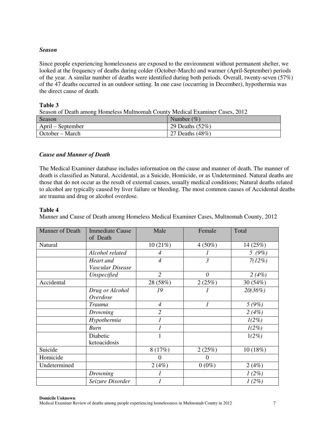### *Season*

Since people experiencing homelessness are exposed to the environment without permanent shelter, we looked at the frequency of deaths during colder (October-March) and warmer (April-September) periods of the year. A similar number of deaths were identified during both periods. Overall, twenty-seven (57%) of the 47 deaths occurred in an outdoor setting. In one case (occurring in December), hypothermia was the direct cause of death.

### **Table 3**

Season of Death among Homeless Multnomah County Medical Examiner Cases, 2012

| Season            | Number $(\% )$     |
|-------------------|--------------------|
| April – September | 29 Deaths $(52\%)$ |
| October – March   | 27 Deaths (48%)    |

## *Cause and Manner of Death*

The Medical Examiner database includes information on the cause and manner of death. The manner of death is classified as Natural, Accidental, as a Suicide, Homicide, or as Undetermined. Natural deaths are those that do not occur as the result of external causes, usually medical conditions; Natural deaths related to alcohol are typically caused by liver failure or bleeding. The most common causes of Accidental deaths are trauma and drug or alcohol overdose.

## **Table 4**

Manner and Cause of Death among Homeless Medical Examiner Cases, Multnomah County, 2012

| <b>Manner of Death</b> | <b>Immediate Cause</b><br>of Death | Male           | Female                      | Total     |
|------------------------|------------------------------------|----------------|-----------------------------|-----------|
| Natural                |                                    | 10(21%)        | $4(50\%)$                   | 14 (25%)  |
|                        | Alcohol related                    | $\overline{4}$ | 1                           | 5(9%)     |
|                        | Heart and                          | $\overline{4}$ | $\mathfrak{Z}$              | $7(12\%)$ |
|                        | Vascular Disease                   |                |                             |           |
|                        | Unspecified                        | $\overline{2}$ | $\theta$                    | 2(4%)     |
| Accidental             |                                    | 28 (58%)       | 2(25%)                      | 30 (54%)  |
|                        | Drug or Alcohol                    | 19             |                             | 20(36%)   |
|                        | Overdose                           |                |                             |           |
|                        | <b>Trauma</b>                      | $\overline{4}$ | $\mathcal{I}_{\mathcal{I}}$ | 5(9%)     |
|                        | Drowning                           | $\overline{2}$ |                             | 2(4%)     |
|                        | Hypothermia                        | 1              |                             | $1(2\%)$  |
|                        | Burn                               | 1              |                             | $1(2\%)$  |
|                        | Diabetic                           |                |                             | $1(2\%)$  |
|                        | ketoacidosis                       |                |                             |           |
| Suicide                |                                    | 8(17%)         | 2(25%)                      | 10(18%)   |
| Homicide               |                                    | $\Omega$       | $\theta$                    |           |
| Undetermined           |                                    | 2(4%)          | $0(0\%)$                    | 2(4%)     |
|                        | Drowning                           |                |                             | $1(2\%)$  |
|                        | Seizure Disorder                   | 1              |                             | $1(2\%)$  |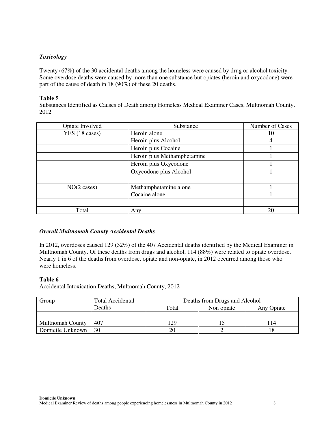## *Toxicology*

Twenty (67%) of the 30 accidental deaths among the homeless were caused by drug or alcohol toxicity. Some overdose deaths were caused by more than one substance but opiates (heroin and oxycodone) were part of the cause of death in 18 (90%) of these 20 deaths.

### **Table 5**

Substances Identified as Causes of Death among Homeless Medical Examiner Cases, Multnomah County, 2012

| Opiate Involved  | Substance                   | Number of Cases |
|------------------|-----------------------------|-----------------|
| YES (18 cases)   | Heroin alone                | 10              |
|                  | Heroin plus Alcohol         | 4               |
|                  | Heroin plus Cocaine         |                 |
|                  | Heroin plus Methamphetamine |                 |
|                  | Heroin plus Oxycodone       |                 |
|                  | Oxycodone plus Alcohol      |                 |
|                  |                             |                 |
| $NO(2 \; cases)$ | Methamphetamine alone       |                 |
|                  | Cocaine alone               |                 |
|                  |                             |                 |
| Total            | Any                         | 20              |

### *Overall Multnomah County Accidental Deaths*

In 2012, overdoses caused 129 (32%) of the 407 Accidental deaths identified by the Medical Examiner in Multnomah County. Of these deaths from drugs and alcohol, 114 (88%) were related to opiate overdose. Nearly 1 in 6 of the deaths from overdose, opiate and non-opiate, in 2012 occurred among those who were homeless.

### **Table 6**

Accidental Intoxication Deaths, Multnomah County, 2012

| Group                   | <b>Total Accidental</b> | Deaths from Drugs and Alcohol |            |            |
|-------------------------|-------------------------|-------------------------------|------------|------------|
|                         | Deaths                  | Total                         | Non opiate | Any Opiate |
|                         |                         |                               |            |            |
| <b>Multnomah County</b> | 407                     | 129                           |            | 14         |
| Domicile Unknown        | 30                      | 20                            |            |            |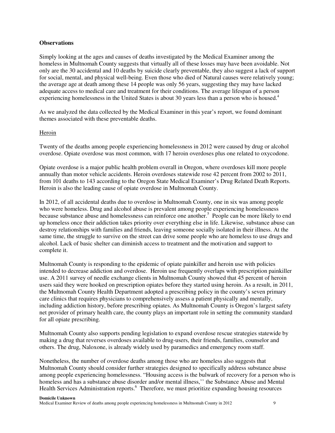### **Observations**

Simply looking at the ages and causes of deaths investigated by the Medical Examiner among the homeless in Multnomah County suggests that virtually all of these losses may have been avoidable. Not only are the 30 accidental and 10 deaths by suicide clearly preventable, they also suggest a lack of support for social, mental, and physical well-being. Even those who died of Natural causes were relatively young; the average age at death among these 14 people was only 56 years, suggesting they may have lacked adequate access to medical care and treatment for their conditions. The average lifespan of a person experiencing homelessness in the United States is about 30 years less than a person who is housed.<sup>4</sup>

As we analyzed the data collected by the Medical Examiner in this year's report, we found dominant themes associated with these preventable deaths.

### Heroin

Twenty of the deaths among people experiencing homelessness in 2012 were caused by drug or alcohol overdose. Opiate overdose was most common, with 17 heroin overdoses plus one related to oxycodone.

Opiate overdose is a major public health problem overall in Oregon, where overdoses kill more people annually than motor vehicle accidents. Heroin overdoses statewide rose 42 percent from 2002 to 2011, from 101 deaths to 143 according to the Oregon State Medical Examiner's Drug Related Death Reports. Heroin is also the leading cause of opiate overdose in Multnomah County.

In 2012, of all accidental deaths due to overdose in Multnomah County, one in six was among people who were homeless. Drug and alcohol abuse is prevalent among people experiencing homelessness because substance abuse and homelessness can reinforce one another.<sup>5</sup> People can be more likely to end up homeless once their addiction takes priority over everything else in life. Likewise, substance abuse can destroy relationships with families and friends, leaving someone socially isolated in their illness. At the same time, the struggle to survive on the street can drive some people who are homeless to use drugs and alcohol. Lack of basic shelter can diminish access to treatment and the motivation and support to complete it.

Multnomah County is responding to the epidemic of opiate painkiller and heroin use with policies intended to decrease addiction and overdose. Heroin use frequently overlaps with prescription painkiller use. A 2011 survey of needle exchange clients in Multnomah County showed that 45 percent of heroin users said they were hooked on prescription opiates before they started using heroin. As a result, in 2011, the Multnomah County Health Department adopted a prescribing policy in the county's seven primary care clinics that requires physicians to comprehensively assess a patient physically and mentally, including addiction history, before prescribing opiates. As Multnomah County is Oregon's largest safety net provider of primary health care, the county plays an important role in setting the community standard for all opiate prescribing.

Multnomah County also supports pending legislation to expand overdose rescue strategies statewide by making a drug that reverses overdoses available to drug-users, their friends, families, counselor and others. The drug, Naloxone, is already widely used by paramedics and emergency room staff.

Nonetheless, the number of overdose deaths among those who are homeless also suggests that Multnomah County should consider further strategies designed to specifically address substance abuse among people experiencing homelessness. "Housing access is the bulwark of recovery for a person who is homeless and has a substance abuse disorder and/or mental illness,'' the Substance Abuse and Mental Health Services Administration reports.<sup>6</sup> Therefore, we must prioritize expanding housing resources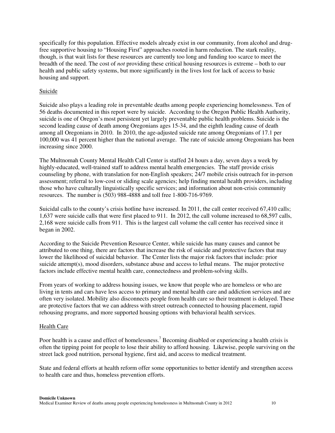specifically for this population. Effective models already exist in our community, from alcohol and drugfree supportive housing to "Housing First" approaches rooted in harm reduction. The stark reality, though, is that wait lists for these resources are currently too long and funding too scarce to meet the breadth of the need. The cost of *not* providing these critical housing resources is extreme – both to our health and public safety systems, but more significantly in the lives lost for lack of access to basic housing and support.

### Suicide

Suicide also plays a leading role in preventable deaths among people experiencing homelessness. Ten of 56 deaths documented in this report were by suicide. According to the Oregon Public Health Authority, suicide is one of Oregon's most persistent yet largely preventable public health problems. Suicide is the second leading cause of death among Oregonians ages 15-34, and the eighth leading cause of death among all Oregonians in 2010. In 2010, the age-adjusted suicide rate among Oregonians of 17.1 per 100,000 was 41 percent higher than the national average. The rate of suicide among Oregonians has been increasing since 2000.

The Multnomah County Mental Health Call Center is staffed 24 hours a day, seven days a week by highly-educated, well-trained staff to address mental health emergencies. The staff provide crisis counseling by phone, with translation for non-English speakers; 24/7 mobile crisis outreach for in-person assessment; referral to low-cost or sliding scale agencies; help finding mental health providers, including those who have culturally linguistically specific services; and information about non-crisis community resources. The number is (503) 988-4888 and toll free 1-800-716-9769.

Suicidal calls to the county's crisis hotline have increased. In 2011, the call center received 67,410 calls; 1,637 were suicide calls that were first placed to 911. In 2012, the call volume increased to 68,597 calls, 2,168 were suicide calls from 911. This is the largest call volume the call center has received since it began in 2002.

According to the Suicide Prevention Resource Center, while suicide has many causes and cannot be attributed to one thing, there are factors that increase the risk of suicide and protective factors that may lower the likelihood of suicidal behavior. The Center lists the major risk factors that include: prior suicide attempt(s), mood disorders, substance abuse and access to lethal means. The major protective factors include effective mental health care, connectedness and problem-solving skills.

From years of working to address housing issues, we know that people who are homeless or who are living in tents and cars have less access to primary and mental health care and addiction services and are often very isolated. Mobility also disconnects people from health care so their treatment is delayed. These are protective factors that we can address with street outreach connected to housing placement, rapid rehousing programs, and more supported housing options with behavioral health services.

### Health Care

Poor health is a cause and effect of homelessness.<sup>7</sup> Becoming disabled or experiencing a health crisis is often the tipping point for people to lose their ability to afford housing. Likewise, people surviving on the street lack good nutrition, personal hygiene, first aid, and access to medical treatment.

State and federal efforts at health reform offer some opportunities to better identify and strengthen access to health care and thus, homeless prevention efforts.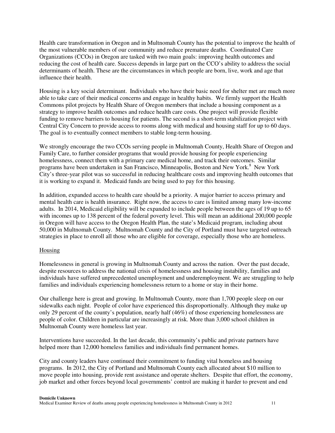Health care transformation in Oregon and in Multnomah County has the potential to improve the health of the most vulnerable members of our community and reduce premature deaths. Coordinated Care Organizations (CCOs) in Oregon are tasked with two main goals: improving health outcomes and reducing the cost of health care. Success depends in large part on the CCO's ability to address the social determinants of health. These are the circumstances in which people are born, live, work and age that influence their health.

Housing is a key social determinant. Individuals who have their basic need for shelter met are much more able to take care of their medical concerns and engage in healthy habits. We firmly support the Health Commons pilot projects by Health Share of Oregon members that include a housing component as a strategy to improve health outcomes and reduce health care costs. One project will provide flexible funding to remove barriers to housing for patients. The second is a short-term stabilization project with Central City Concern to provide access to rooms along with medical and housing staff for up to 60 days. The goal is to eventually connect members to stable long-term housing.

We strongly encourage the two CCOs serving people in Multnomah County, Health Share of Oregon and Family Care, to further consider programs that would provide housing for people experiencing homelessness, connect them with a primary care medical home, and track their outcomes. Similar programs have been undertaken in San Francisco, Minneapolis, Boston and New York.<sup>8</sup> New York City's three-year pilot was so successful in reducing healthcare costs and improving health outcomes that it is working to expand it. Medicaid funds are being used to pay for this housing.

In addition, expanded access to health care should be a priority. A major barrier to access primary and mental health care is health insurance. Right now, the access to care is limited among many low-income adults. In 2014, Medicaid eligibility will be expanded to include people between the ages of 19 up to 65 with incomes up to 138 percent of the federal poverty level. This will mean an additional 200,000 people in Oregon will have access to the Oregon Health Plan, the state's Medicaid program, including about 50,000 in Multnomah County. Multnomah County and the City of Portland must have targeted outreach strategies in place to enroll all those who are eligible for coverage, especially those who are homeless.

### Housing

Homelessness in general is growing in Multnomah County and across the nation. Over the past decade, despite resources to address the national crisis of homelessness and housing instability, families and individuals have suffered unprecedented unemployment and underemployment. We are struggling to help families and individuals experiencing homelessness return to a home or stay in their home.

Our challenge here is great and growing. In Multnomah County, more than 1,700 people sleep on our sidewalks each night. People of color have experienced this disproportionally. Although they make up only 29 percent of the county's population, nearly half (46%) of those experiencing homelessness are people of color. Children in particular are increasingly at risk. More than 3,000 school children in Multnomah County were homeless last year.

Interventions have succeeded. In the last decade, this community's public and private partners have helped more than 12,000 homeless families and individuals find permanent homes.

City and county leaders have continued their commitment to funding vital homeless and housing programs. In 2012, the City of Portland and Multnomah County each allocated about \$10 million to move people into housing, provide rent assistance and operate shelters. Despite that effort, the economy, job market and other forces beyond local governments' control are making it harder to prevent and end